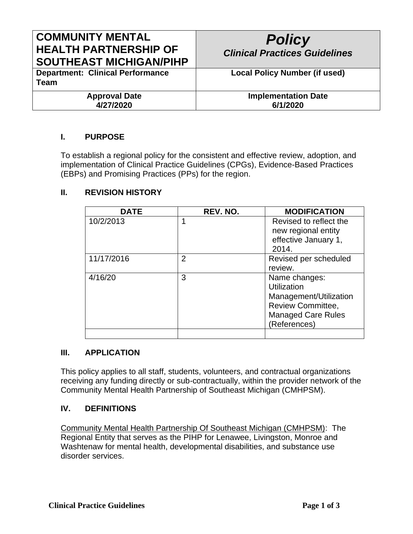# **COMMUNITY MENTAL HEALTH PARTNERSHIP OF SOUTHEAST MICHIGAN/PIHP**

# *Policy Clinical Practices Guidelines* **Local Policy Number (if used)**

**Department: Clinical Performance Team**

> **Approval Date 4/27/2020**

**Implementation Date 6/1/2020**

## **I. PURPOSE**

To establish a regional policy for the consistent and effective review, adoption, and implementation of Clinical Practice Guidelines (CPGs), Evidence-Based Practices (EBPs) and Promising Practices (PPs) for the region.

#### **II. REVISION HISTORY**

| <b>DATE</b> | REV. NO.       | <b>MODIFICATION</b>       |
|-------------|----------------|---------------------------|
| 10/2/2013   | 1              | Revised to reflect the    |
|             |                | new regional entity       |
|             |                | effective January 1,      |
|             |                | 2014.                     |
| 11/17/2016  | $\overline{2}$ | Revised per scheduled     |
|             |                | review.                   |
| 4/16/20     | 3              | Name changes:             |
|             |                | Utilization               |
|             |                | Management/Utilization    |
|             |                | <b>Review Committee,</b>  |
|             |                | <b>Managed Care Rules</b> |
|             |                | (References)              |
|             |                |                           |

#### **III. APPLICATION**

This policy applies to all staff, students, volunteers, and contractual organizations receiving any funding directly or sub-contractually, within the provider network of the Community Mental Health Partnership of Southeast Michigan (CMHPSM).

#### **IV. DEFINITIONS**

Community Mental Health Partnership Of Southeast Michigan (CMHPSM): The Regional Entity that serves as the PIHP for Lenawee, Livingston, Monroe and Washtenaw for mental health, developmental disabilities, and substance use disorder services.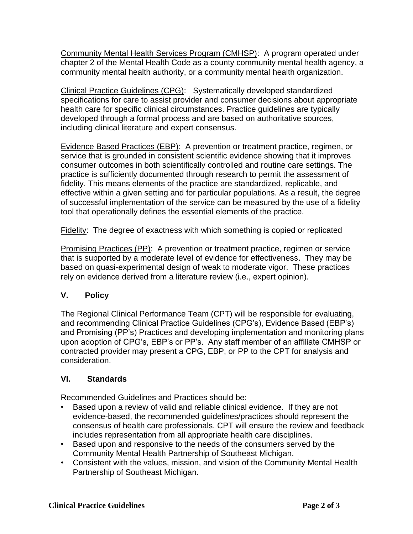Community Mental Health Services Program (CMHSP): A program operated under chapter 2 of the Mental Health Code as a county community mental health agency, a community mental health authority, or a community mental health organization.

Clinical Practice Guidelines (CPG): Systematically developed standardized specifications for care to assist provider and consumer decisions about appropriate health care for specific clinical circumstances. Practice guidelines are typically developed through a formal process and are based on authoritative sources, including clinical literature and expert consensus.

Evidence Based Practices (EBP): A prevention or treatment practice, regimen, or service that is grounded in consistent scientific evidence showing that it improves consumer outcomes in both scientifically controlled and routine care settings. The practice is sufficiently documented through research to permit the assessment of fidelity. This means elements of the practice are standardized, replicable, and effective within a given setting and for particular populations. As a result, the degree of successful implementation of the service can be measured by the use of a fidelity tool that operationally defines the essential elements of the practice.

Fidelity: The degree of exactness with which something is copied or replicated

Promising Practices (PP): A prevention or treatment practice, regimen or service that is supported by a moderate level of evidence for effectiveness. They may be based on quasi-experimental design of weak to moderate vigor. These practices rely on evidence derived from a literature review (i.e., expert opinion).

### **V. Policy**

The Regional Clinical Performance Team (CPT) will be responsible for evaluating, and recommending Clinical Practice Guidelines (CPG's), Evidence Based (EBP's) and Promising (PP's) Practices and developing implementation and monitoring plans upon adoption of CPG's, EBP's or PP's. Any staff member of an affiliate CMHSP or contracted provider may present a CPG, EBP, or PP to the CPT for analysis and consideration.

### **VI. Standards**

Recommended Guidelines and Practices should be:

- Based upon a review of valid and reliable clinical evidence. If they are not evidence-based, the recommended guidelines/practices should represent the consensus of health care professionals. CPT will ensure the review and feedback includes representation from all appropriate health care disciplines.
- Based upon and responsive to the needs of the consumers served by the Community Mental Health Partnership of Southeast Michigan.
- Consistent with the values, mission, and vision of the Community Mental Health Partnership of Southeast Michigan.